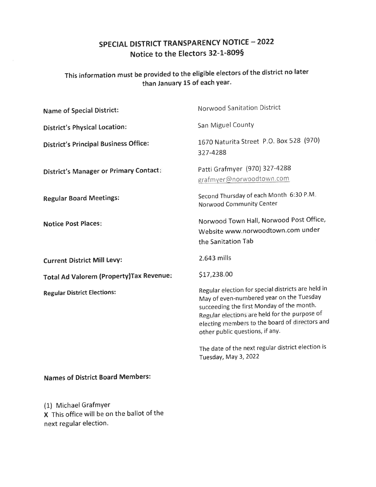# SPECIAL DISTRICT TRANSPARENCY NOTICE - 2022 Notice to the Electors 32-1-8095

### This information must be provided to the eligible electors of the district no later than January 15 of each year.

| <b>Name of Special District:</b>              | <b>Norwood Sanitation District</b>                                                                                                                                                                                                                                                |
|-----------------------------------------------|-----------------------------------------------------------------------------------------------------------------------------------------------------------------------------------------------------------------------------------------------------------------------------------|
| <b>District's Physical Location:</b>          | San Miguel County                                                                                                                                                                                                                                                                 |
| <b>District's Principal Business Office:</b>  | 1670 Naturita Street P.O. Box 528 (970)<br>327-4288                                                                                                                                                                                                                               |
| <b>District's Manager or Primary Contact:</b> | Patti Grafmyer (970) 327-4288<br>grafmyer@norwoodtown.com                                                                                                                                                                                                                         |
| <b>Regular Board Meetings:</b>                | Second Thursday of each Month 6:30 P.M.<br>Norwood Community Center                                                                                                                                                                                                               |
| <b>Notice Post Places:</b>                    | Norwood Town Hall, Norwood Post Office,<br>Website www.norwoodtown.com under<br>the Sanitation Tab                                                                                                                                                                                |
| <b>Current District Mill Levy:</b>            | 2.643 mills                                                                                                                                                                                                                                                                       |
| Total Ad Valorem (Property) Tax Revenue:      | \$17,238.00                                                                                                                                                                                                                                                                       |
| <b>Regular District Elections:</b>            | Regular election for special districts are held in<br>May of even-numbered year on the Tuesday<br>succeeding the first Monday of the month.<br>Regular elections are held for the purpose of<br>electing members to the board of directors and<br>other public questions, if any. |
|                                               | The date of the next regular district election is<br>Tuesday, May 3, 2022                                                                                                                                                                                                         |

## Names of District Board Members:

(1) Michael Grafmyer X This office will be on the ballot of the next regular election.